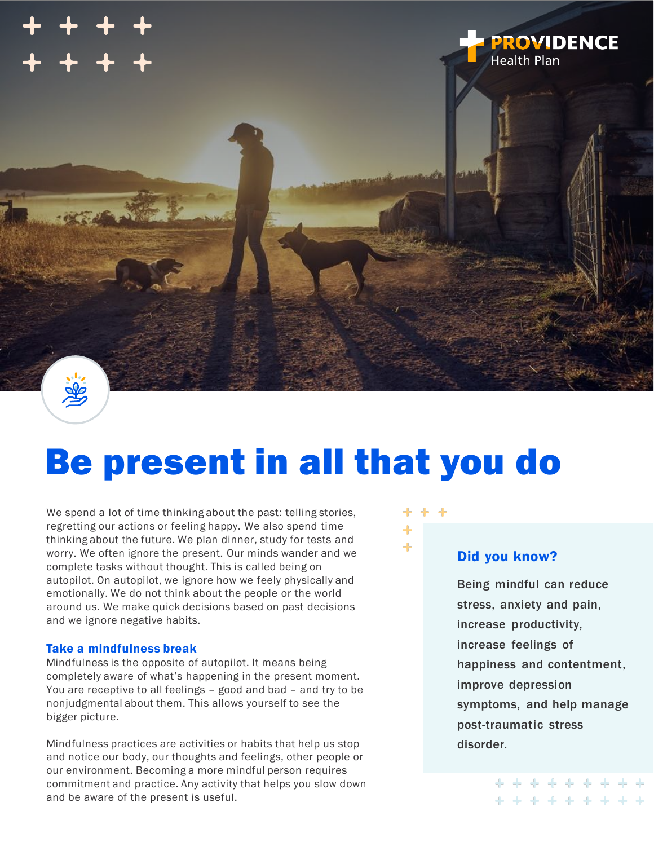

# Be present in all that you do

We spend a lot of time thinking about the past: telling stories, regretting our actions or feeling happy. We also spend time thinking about the future. We plan dinner, study for tests and worry. We often ignore the present. Our minds wander and we complete tasks without thought. This is called being on autopilot. On autopilot, we ignore how we feely physically and emotionally. We do not think about the people or the world around us. We make quick decisions based on past decisions and we ignore negative habits.

#### Take a mindfulness break

Mindfulness is the opposite of autopilot. It means being completely aware of what's happening in the present moment. You are receptive to all feelings – good and bad – and try to be nonjudgmental about them. This allows yourself to see the bigger picture.

Mindfulness practices are activities or habits that help us stop and notice our body, our thoughts and feelings, other people or our environment. Becoming a more mindful person requires commitment and practice. Any activity that helps you slow down and be aware of the present is useful.



#### Did you know?

Being mindful can reduce stress, anxiety and pain, increase productivity, increase feelings of happiness and contentment, improve depression symptoms, and help manage post-traumatic stress disorder.

+ + + + + + + + +